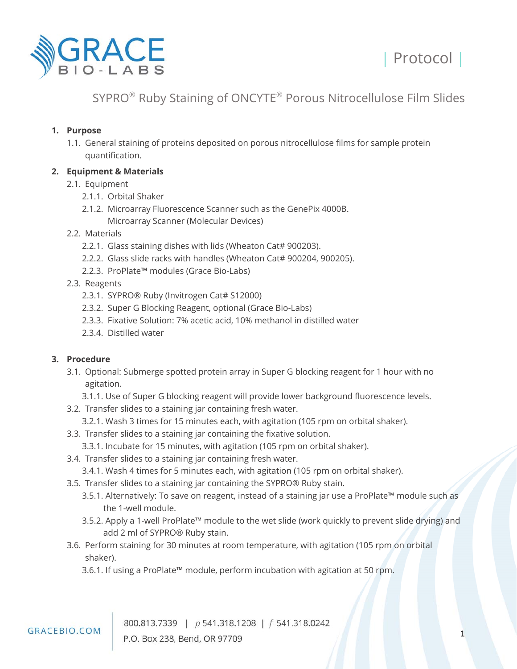

## SYPRO® Ruby Staining of ONCYTE® Porous Nitrocellulose Film Slides

#### **1. Purpose**

1.1. General staining of proteins deposited on porous nitrocellulose films for sample protein quantification.

## **2. Equipment & Materials**

- 2.1. Equipment
	- 2.1.1. Orbital Shaker
	- 2.1.2. Microarray Fluorescence Scanner such as the GenePix 4000B.
		- Microarray Scanner (Molecular Devices)
- 2.2. Materials
	- 2.2.1. Glass staining dishes with lids (Wheaton Cat# 900203).
	- 2.2.2. Glass slide racks with handles (Wheaton Cat# 900204, 900205).
	- 2.2.3. ProPlate™ modules (Grace Bio-Labs)
- 2.3. Reagents
	- 2.3.1. SYPRO® Ruby (Invitrogen Cat# S12000)
	- 2.3.2. Super G Blocking Reagent, optional (Grace Bio-Labs)
	- 2.3.3. Fixative Solution: 7% acetic acid, 10% methanol in distilled water
	- 2.3.4. Distilled water

#### **3. Procedure**

- 3.1. Optional: Submerge spotted protein array in Super G blocking reagent for 1 hour with no agitation.
	- 3.1.1. Use of Super G blocking reagent will provide lower background fluorescence levels.
- 3.2. Transfer slides to a staining jar containing fresh water.
	- 3.2.1. Wash 3 times for 15 minutes each, with agitation (105 rpm on orbital shaker).
- 3.3. Transfer slides to a staining jar containing the fixative solution.
	- 3.3.1. Incubate for 15 minutes, with agitation (105 rpm on orbital shaker).
- 3.4. Transfer slides to a staining jar containing fresh water.
	- 3.4.1. Wash 4 times for 5 minutes each, with agitation (105 rpm on orbital shaker).
- 3.5. Transfer slides to a staining jar containing the SYPRO® Ruby stain.
	- 3.5.1. Alternatively: To save on reagent, instead of a staining jar use a ProPlate™ module such as the 1-well module.
	- 3.5.2. Apply a 1-well ProPlate™ module to the wet slide (work quickly to prevent slide drying) and add 2 ml of SYPRO® Ruby stain.
- 3.6. Perform staining for 30 minutes at room temperature, with agitation (105 rpm on orbital shaker).
	- 3.6.1. If using a ProPlate™ module, perform incubation with agitation at 50 rpm.

800.813.7339 | p 541.318.1208 | f 541.318.0242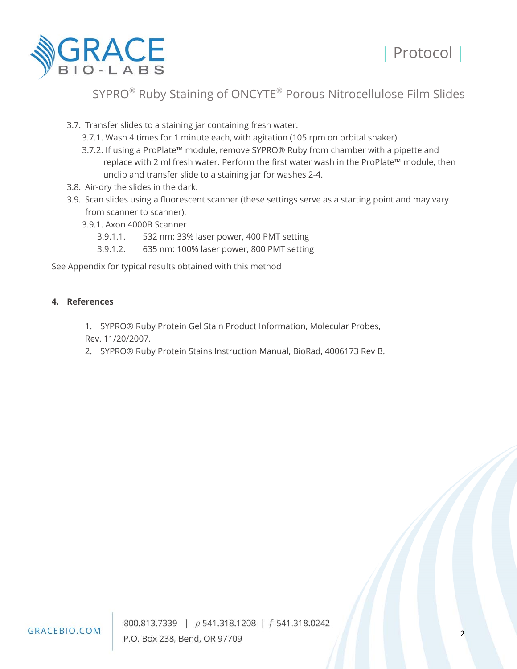



# SYPRO® Ruby Staining of ONCYTE® Porous Nitrocellulose Film Slides

3.7. Transfer slides to a staining jar containing fresh water.

- 3.7.1. Wash 4 times for 1 minute each, with agitation (105 rpm on orbital shaker).
- 3.7.2. If using a ProPlate™ module, remove SYPRO® Ruby from chamber with a pipette and replace with 2 ml fresh water. Perform the first water wash in the ProPlate™ module, then unclip and transfer slide to a staining jar for washes 2-4.
- 3.8. Air-dry the slides in the dark.
- 3.9. Scan slides using a fluorescent scanner (these settings serve as a starting point and may vary from scanner to scanner):
	- 3.9.1. Axon 4000B Scanner
		- 3.9.1.1. 532 nm: 33% laser power, 400 PMT setting
		- 3.9.1.2. 635 nm: 100% laser power, 800 PMT setting

See Appendix for typical results obtained with this method

#### **4. References**

- 1. SYPRO® Ruby Protein Gel Stain Product Information, Molecular Probes, Rev. 11/20/2007.
- 2. SYPRO® Ruby Protein Stains Instruction Manual, BioRad, 4006173 Rev B.